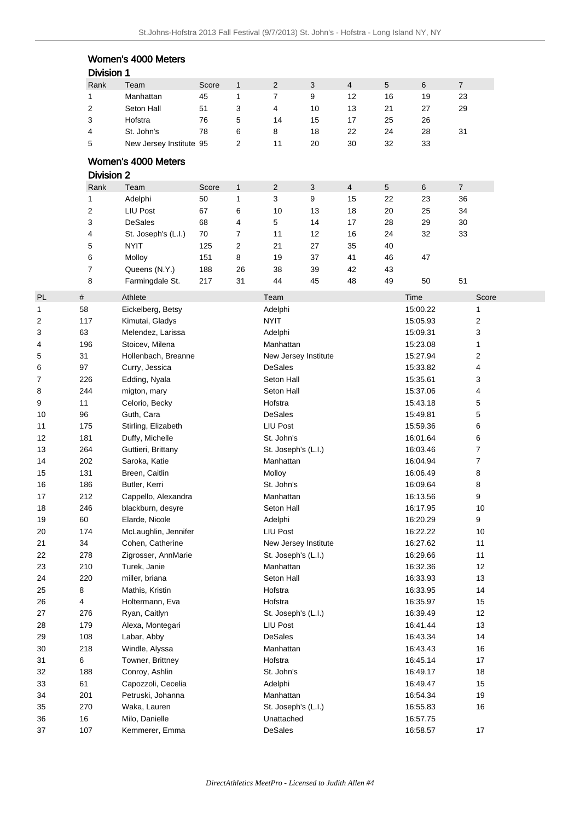|    |                   | Women's 4000 Meters     |       |              |                     |                      |                |                |          |                |
|----|-------------------|-------------------------|-------|--------------|---------------------|----------------------|----------------|----------------|----------|----------------|
|    | <b>Division 1</b> |                         |       |              |                     |                      |                |                |          |                |
|    | Rank              | Team                    | Score | $\mathbf{1}$ | $\overline{2}$      | 3                    | $\overline{4}$ | $\overline{5}$ | 6        | $\overline{7}$ |
|    | 1                 | Manhattan               | 45    | 1            | 7                   | 9                    | 12             | 16             | 19       | 23             |
|    | 2                 | Seton Hall              | 51    | 3            | 4                   | 10                   | 13             | 21             | 27       | 29             |
|    | 3                 | Hofstra                 | 76    | 5            | 14                  | 15                   | 17             | 25             | 26       |                |
|    | 4                 | St. John's              | 78    | 6            | 8                   | 18                   | 22             | 24             | 28       | 31             |
|    | 5                 | New Jersey Institute 95 |       | 2            | 11                  | 20                   | 30             | 32             | 33       |                |
|    |                   |                         |       |              |                     |                      |                |                |          |                |
|    |                   | Women's 4000 Meters     |       |              |                     |                      |                |                |          |                |
|    | <b>Division 2</b> |                         |       |              |                     |                      |                |                |          |                |
|    | Rank              | Team                    | Score | $\mathbf{1}$ | $\overline{2}$      | 3                    | $\overline{4}$ | $\sqrt{5}$     | 6        | $\overline{7}$ |
|    | 1                 | Adelphi                 | 50    | 1            | 3                   | 9                    | 15             | 22             | 23       | 36             |
|    | 2                 | <b>LIU Post</b>         | 67    | 6            | 10                  | 13                   | 18             | 20             | 25       | 34             |
|    | 3                 | <b>DeSales</b>          | 68    | 4            | 5                   | 14                   | 17             | 28             | 29       | 30             |
|    | 4                 | St. Joseph's (L.I.)     | 70    | 7            | 11                  | 12                   | 16             | 24             | 32       | 33             |
|    | 5                 | <b>NYIT</b>             | 125   | 2            | 21                  | 27                   | 35             | 40             |          |                |
|    | 6                 | Molloy                  | 151   | 8            | 19                  | 37                   | 41             | 46             | 47       |                |
|    | 7                 | Queens (N.Y.)           | 188   | 26           | 38                  | 39                   | 42             | 43             |          |                |
|    | 8                 | Farmingdale St.         | 217   | 31           | 44                  | 45                   | 48             | 49             | 50       | 51             |
| PL | #                 | Athlete                 |       |              | Team                |                      |                |                | Time     | Score          |
| 1  | 58                | Eickelberg, Betsy       |       |              | Adelphi             |                      |                |                | 15:00.22 | 1              |
| 2  | 117               | Kimutai, Gladys         |       |              | <b>NYIT</b>         |                      |                |                | 15:05.93 | 2              |
| 3  | 63                | Melendez, Larissa       |       |              | Adelphi             |                      |                |                | 15:09.31 | 3              |
|    |                   |                         |       |              |                     |                      |                |                |          |                |
| 4  | 196               | Stoicev, Milena         |       |              | Manhattan           |                      |                |                | 15:23.08 | 1              |
| 5  | 31                | Hollenbach, Breanne     |       |              |                     | New Jersey Institute |                |                | 15:27.94 | 2              |
| 6  | 97                | Curry, Jessica          |       |              | <b>DeSales</b>      |                      |                |                | 15:33.82 | 4              |
| 7  | 226               | Edding, Nyala           |       |              | Seton Hall          |                      |                |                | 15:35.61 | 3              |
| 8  | 244               | migton, mary            |       |              | Seton Hall          |                      |                |                | 15:37.06 | 4              |
| 9  | 11                | Celorio, Becky          |       |              | Hofstra             |                      |                |                | 15:43.18 | 5              |
| 10 | 96                | Guth, Cara              |       |              | <b>DeSales</b>      |                      |                |                | 15:49.81 | 5              |
| 11 | 175               | Stirling, Elizabeth     |       |              | LIU Post            |                      |                |                | 15:59.36 | 6              |
| 12 | 181               | Duffy, Michelle         |       |              | St. John's          |                      |                |                | 16:01.64 | 6              |
| 13 | 264               | Guttieri, Brittany      |       |              | St. Joseph's (L.I.) |                      |                |                | 16:03.46 | 7              |
| 14 | 202               | Saroka, Katie           |       |              | Manhattan           |                      |                |                | 16:04.94 | 7              |
| 15 | 131               | Breen, Caitlin          |       |              | Molloy              |                      |                |                | 16:06.49 | 8              |
| 16 | 186               | Butler, Kerri           |       |              | St. John's          |                      |                |                | 16:09.64 | 8              |
| 17 | 212               | Cappello, Alexandra     |       |              | Manhattan           |                      |                |                | 16:13.56 | 9              |
| 18 | 246               | blackburn, desyre       |       |              | Seton Hall          |                      |                |                | 16:17.95 | 10             |
| 19 | 60                | Elarde, Nicole          |       |              | Adelphi             |                      |                |                | 16:20.29 | 9              |
| 20 | 174               | McLaughlin, Jennifer    |       |              | LIU Post            |                      |                |                | 16:22.22 | 10             |
| 21 | 34                | Cohen, Catherine        |       |              |                     | New Jersey Institute |                |                | 16:27.62 | 11             |
| 22 | 278               | Zigrosser, AnnMarie     |       |              | St. Joseph's (L.I.) |                      |                |                | 16:29.66 | 11             |
|    |                   |                         |       |              | Manhattan           |                      |                |                | 16:32.36 | 12             |
| 23 | 210               | Turek, Janie            |       |              |                     |                      |                |                |          |                |
| 24 | 220               | miller, briana          |       |              | Seton Hall          |                      |                |                | 16:33.93 | 13             |
| 25 | 8                 | Mathis, Kristin         |       |              | Hofstra             |                      |                |                | 16:33.95 | 14             |
| 26 | 4                 | Holtermann, Eva         |       |              | Hofstra             |                      |                |                | 16:35.97 | 15             |
| 27 | 276               | Ryan, Caitlyn           |       |              | St. Joseph's (L.I.) |                      |                |                | 16:39.49 | 12             |
| 28 | 179               | Alexa, Montegari        |       |              | LIU Post            |                      |                |                | 16:41.44 | 13             |
| 29 | 108               | Labar, Abby             |       |              | <b>DeSales</b>      |                      |                |                | 16:43.34 | 14             |
| 30 | 218               | Windle, Alyssa          |       |              | Manhattan           |                      |                |                | 16:43.43 | 16             |
| 31 | 6                 | Towner, Brittney        |       |              | Hofstra             |                      |                |                | 16:45.14 | 17             |
| 32 | 188               | Conroy, Ashlin          |       |              | St. John's          |                      |                |                | 16:49.17 | 18             |
| 33 | 61                | Capozzoli, Cecelia      |       |              | Adelphi             |                      |                |                | 16:49.47 | 15             |
| 34 | 201               | Petruski, Johanna       |       |              | Manhattan           |                      |                |                | 16:54.34 | 19             |
| 35 | 270               | Waka, Lauren            |       |              | St. Joseph's (L.I.) |                      |                |                | 16:55.83 | 16             |
| 36 | $16\,$            | Milo, Danielle          |       |              | Unattached          |                      |                |                | 16:57.75 |                |
| 37 | 107               | Kemmerer, Emma          |       |              | DeSales             |                      |                |                | 16:58.57 | 17             |
|    |                   |                         |       |              |                     |                      |                |                |          |                |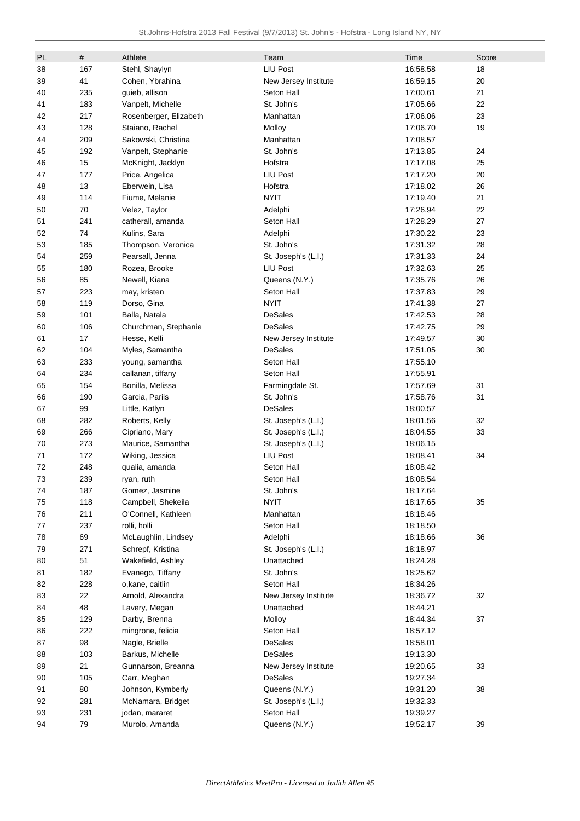| PL | #   | Athlete                | Team                     | Time                 | Score |
|----|-----|------------------------|--------------------------|----------------------|-------|
| 38 | 167 | Stehl, Shaylyn         | LIU Post                 | 16:58.58             | 18    |
|    |     |                        |                          |                      |       |
| 39 | 41  | Cohen, Ybrahina        | New Jersey Institute     | 16:59.15             | 20    |
| 40 | 235 | guieb, allison         | Seton Hall<br>St. John's | 17:00.61<br>17:05.66 | 21    |
| 41 | 183 | Vanpelt, Michelle      |                          |                      | 22    |
| 42 | 217 | Rosenberger, Elizabeth | Manhattan                | 17:06.06             | 23    |
| 43 | 128 | Staiano, Rachel        | Molloy                   | 17:06.70             | 19    |
| 44 | 209 | Sakowski, Christina    | Manhattan                | 17:08.57             |       |
| 45 | 192 | Vanpelt, Stephanie     | St. John's               | 17:13.85             | 24    |
| 46 | 15  | McKnight, Jacklyn      | Hofstra                  | 17:17.08             | 25    |
| 47 | 177 | Price, Angelica        | LIU Post                 | 17:17.20             | 20    |
| 48 | 13  | Eberwein, Lisa         | Hofstra                  | 17:18.02             | 26    |
| 49 | 114 | Fiume, Melanie         | <b>NYIT</b>              | 17:19.40             | 21    |
| 50 | 70  | Velez, Taylor          | Adelphi                  | 17:26.94             | 22    |
| 51 | 241 | catherall, amanda      | Seton Hall               | 17:28.29             | 27    |
| 52 | 74  | Kulins, Sara           | Adelphi                  | 17:30.22             | 23    |
| 53 | 185 | Thompson, Veronica     | St. John's               | 17:31.32             | 28    |
| 54 | 259 | Pearsall, Jenna        | St. Joseph's (L.I.)      | 17:31.33             | 24    |
| 55 | 180 | Rozea, Brooke          | LIU Post                 | 17:32.63             | 25    |
| 56 | 85  | Newell, Kiana          | Queens (N.Y.)            | 17:35.76             | 26    |
| 57 | 223 | may, kristen           | Seton Hall               | 17:37.83             | 29    |
| 58 | 119 | Dorso, Gina            | <b>NYIT</b>              | 17:41.38             | 27    |
| 59 | 101 | Balla, Natala          | <b>DeSales</b>           | 17:42.53             | 28    |
| 60 | 106 | Churchman, Stephanie   | <b>DeSales</b>           | 17:42.75             | 29    |
| 61 | 17  | Hesse, Kelli           | New Jersey Institute     | 17:49.57             | 30    |
| 62 | 104 | Myles, Samantha        | <b>DeSales</b>           | 17:51.05             | 30    |
| 63 | 233 | young, samantha        | Seton Hall               | 17:55.10             |       |
| 64 | 234 | callanan, tiffany      | Seton Hall               | 17:55.91             |       |
| 65 | 154 | Bonilla, Melissa       | Farmingdale St.          | 17:57.69             | 31    |
| 66 | 190 | Garcia, Pariis         | St. John's               | 17:58.76             | 31    |
| 67 | 99  | Little, Katlyn         | <b>DeSales</b>           | 18:00.57             |       |
| 68 | 282 | Roberts, Kelly         | St. Joseph's (L.I.)      | 18:01.56             | 32    |
| 69 | 266 | Cipriano, Mary         | St. Joseph's (L.I.)      | 18:04.55             | 33    |
| 70 | 273 | Maurice, Samantha      | St. Joseph's (L.I.)      | 18:06.15             |       |
| 71 | 172 | Wiking, Jessica        | <b>LIU Post</b>          | 18:08.41             | 34    |
| 72 | 248 | qualia, amanda         | Seton Hall               | 18:08.42             |       |
| 73 | 239 | ryan, ruth             | Seton Hall               | 18:08.54             |       |
| 74 | 187 | Gomez, Jasmine         | St. John's               | 18:17.64             |       |
| 75 | 118 | Campbell, Shekeila     | <b>NYIT</b>              | 18:17.65             | 35    |
| 76 | 211 | O'Connell, Kathleen    | Manhattan                | 18:18.46             |       |
| 77 | 237 | rolli, holli           | Seton Hall               | 18:18.50             |       |
| 78 | 69  | McLaughlin, Lindsey    | Adelphi                  | 18:18.66             | 36    |
| 79 | 271 | Schrepf, Kristina      | St. Joseph's (L.I.)      | 18:18.97             |       |
| 80 | 51  | Wakefield, Ashley      | Unattached               | 18:24.28             |       |
| 81 | 182 | Evanego, Tiffany       | St. John's               | 18:25.62             |       |
| 82 | 228 | o, kane, caitlin       | Seton Hall               | 18:34.26             |       |
| 83 | 22  | Arnold, Alexandra      | New Jersey Institute     | 18:36.72             | 32    |
| 84 | 48  | Lavery, Megan          | Unattached               | 18:44.21             |       |
| 85 | 129 | Darby, Brenna          | Molloy                   | 18:44.34             | 37    |
| 86 | 222 | mingrone, felicia      | Seton Hall               | 18:57.12             |       |
| 87 | 98  | Nagle, Brielle         | <b>DeSales</b>           | 18:58.01             |       |
| 88 | 103 | Barkus, Michelle       | <b>DeSales</b>           | 19:13.30             |       |
| 89 | 21  | Gunnarson, Breanna     | New Jersey Institute     | 19:20.65             | 33    |
| 90 | 105 | Carr, Meghan           | <b>DeSales</b>           | 19:27.34             |       |
| 91 | 80  | Johnson, Kymberly      | Queens (N.Y.)            | 19:31.20             | 38    |
| 92 | 281 | McNamara, Bridget      | St. Joseph's (L.I.)      | 19:32.33             |       |
| 93 | 231 | jodan, mararet         | Seton Hall               | 19:39.27             |       |
| 94 | 79  | Murolo, Amanda         | Queens (N.Y.)            | 19:52.17             | 39    |
|    |     |                        |                          |                      |       |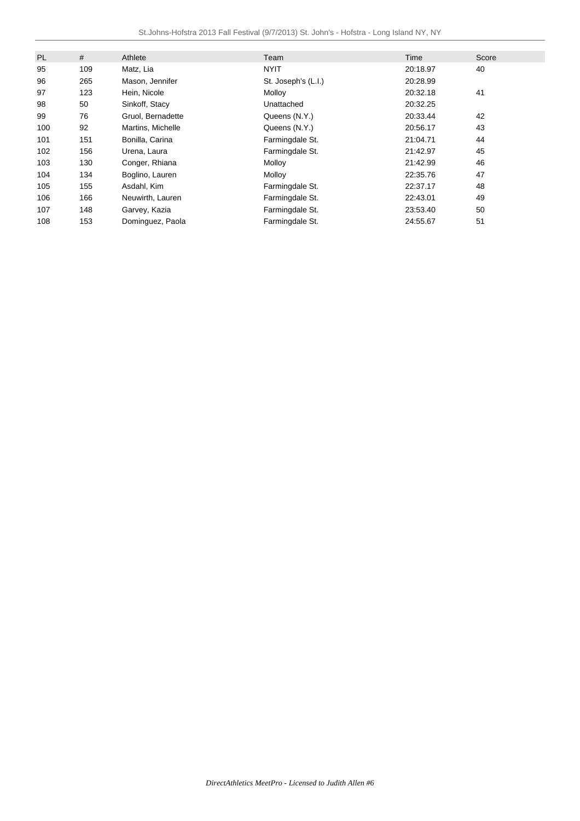| PL  | #   | Athlete           | Team                | Time     | Score |
|-----|-----|-------------------|---------------------|----------|-------|
| 95  | 109 | Matz, Lia         | <b>NYIT</b>         | 20:18.97 | 40    |
| 96  | 265 | Mason, Jennifer   | St. Joseph's (L.I.) | 20:28.99 |       |
| 97  | 123 | Hein, Nicole      | Molloy              | 20:32.18 | 41    |
| 98  | 50  | Sinkoff, Stacy    | Unattached          | 20:32.25 |       |
| 99  | 76  | Gruol, Bernadette | Queens (N.Y.)       | 20:33.44 | 42    |
| 100 | 92  | Martins, Michelle | Queens (N.Y.)       | 20:56.17 | 43    |
| 101 | 151 | Bonilla, Carina   | Farmingdale St.     | 21:04.71 | 44    |
| 102 | 156 | Urena, Laura      | Farmingdale St.     | 21:42.97 | 45    |
| 103 | 130 | Conger, Rhiana    | Molloy              | 21:42.99 | 46    |
| 104 | 134 | Boglino, Lauren   | Molloy              | 22:35.76 | 47    |
| 105 | 155 | Asdahl, Kim       | Farmingdale St.     | 22:37.17 | 48    |
| 106 | 166 | Neuwirth, Lauren  | Farmingdale St.     | 22:43.01 | 49    |
| 107 | 148 | Garvey, Kazia     | Farmingdale St.     | 23:53.40 | 50    |
| 108 | 153 | Dominguez, Paola  | Farmingdale St.     | 24:55.67 | 51    |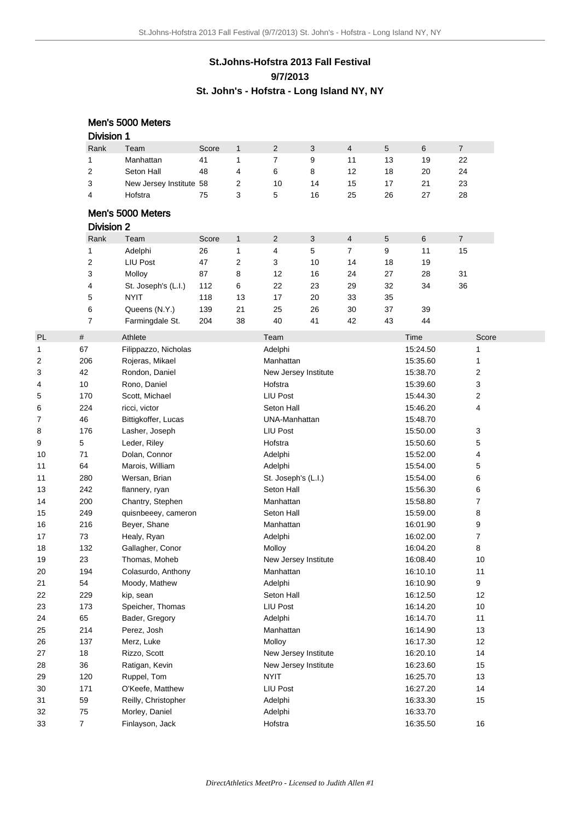## **St.Johns-Hofstra 2013 Fall Festival 9/7/2013 St. John's - Hofstra - Long Island NY, NY**

|    |                   | Men's 5000 Meters       |       |              |                      |    |                |    |          |                  |
|----|-------------------|-------------------------|-------|--------------|----------------------|----|----------------|----|----------|------------------|
|    | <b>Division 1</b> |                         |       |              |                      |    |                |    |          |                  |
|    | Rank              | Team                    | Score | $\mathbf{1}$ | $\overline{2}$       | 3  | $\overline{4}$ | 5  | 6        | $\overline{7}$   |
|    | 1                 | Manhattan               | 41    | $\mathbf{1}$ | 7                    | 9  | 11             | 13 | 19       | 22               |
|    | 2                 | Seton Hall              | 48    | 4            | 6                    | 8  | 12             | 18 | 20       | 24               |
|    | 3                 | New Jersey Institute 58 |       | 2            | 10                   | 14 | 15             | 17 | 21       | 23               |
|    | 4                 | Hofstra                 | 75    | 3            | 5                    | 16 | 25             | 26 | 27       | 28               |
|    |                   | Men's 5000 Meters       |       |              |                      |    |                |    |          |                  |
|    |                   |                         |       |              |                      |    |                |    |          |                  |
|    | <b>Division 2</b> |                         |       |              |                      |    |                |    |          |                  |
|    | Rank              | Team                    | Score | $\mathbf{1}$ | 2                    | 3  | $\overline{4}$ | 5  | 6        | $\overline{7}$   |
|    | 1                 | Adelphi                 | 26    | 1            | 4                    | 5  | 7              | 9  | 11       | 15               |
|    | 2                 | LIU Post                | 47    | 2            | 3                    | 10 | 14             | 18 | 19       |                  |
|    | 3                 | Molloy                  | 87    | 8            | 12                   | 16 | 24             | 27 | 28       | 31               |
|    | 4                 | St. Joseph's (L.I.)     | 112   | 6            | 22                   | 23 | 29             | 32 | 34       | 36               |
|    | 5                 | <b>NYIT</b>             | 118   | 13           | 17                   | 20 | 33             | 35 |          |                  |
|    | 6                 | Queens (N.Y.)           | 139   | 21           | 25                   | 26 | 30             | 37 | 39       |                  |
|    | 7                 | Farmingdale St.         | 204   | 38           | 40                   | 41 | 42             | 43 | 44       |                  |
| PL | $\#$              | Athlete                 |       |              | Team                 |    |                |    | Time     | Score            |
| 1  | 67                | Filippazzo, Nicholas    |       |              | Adelphi              |    |                |    | 15:24.50 | 1                |
| 2  | 206               | Rojeras, Mikael         |       |              | Manhattan            |    |                |    | 15:35.60 | 1                |
| 3  | 42                | Rondon, Daniel          |       |              | New Jersey Institute |    |                |    | 15:38.70 | 2                |
| 4  | 10                | Rono, Daniel            |       |              | Hofstra              |    |                |    | 15:39.60 | 3                |
| 5  | 170               | Scott, Michael          |       |              | <b>LIU Post</b>      |    |                |    | 15:44.30 | 2                |
| 6  | 224               | ricci, victor           |       |              | Seton Hall           |    |                |    | 15:46.20 | 4                |
| 7  | 46                | Bittigkoffer, Lucas     |       |              | UNA-Manhattan        |    |                |    | 15:48.70 |                  |
| 8  | 176               | Lasher, Joseph          |       |              | <b>LIU Post</b>      |    |                |    | 15:50.00 | 3                |
| 9  | 5                 | Leder, Riley            |       |              | Hofstra              |    |                |    | 15:50.60 | 5                |
| 10 | 71                | Dolan, Connor           |       |              | Adelphi              |    |                |    | 15:52.00 | 4                |
| 11 | 64                | Marois, William         |       |              | Adelphi              |    |                |    | 15:54.00 | 5                |
| 11 | 280               | Wersan, Brian           |       |              | St. Joseph's (L.I.)  |    |                |    | 15:54.00 | 6                |
| 13 | 242               | flannery, ryan          |       |              | Seton Hall           |    |                |    | 15:56.30 | 6                |
| 14 | 200               | Chantry, Stephen        |       |              | Manhattan            |    |                |    | 15:58.80 | 7                |
| 15 | 249               | quisnbeeey, cameron     |       |              | Seton Hall           |    |                |    | 15:59.00 | 8                |
| 16 | 216               | Beyer, Shane            |       |              | Manhattan            |    |                |    | 16:01.90 | 9                |
| 17 | 73                | Healy, Ryan             |       |              | Adelphi              |    |                |    | 16:02.00 | 7                |
| 18 | 132               | Gallagher, Conor        |       |              | Molloy               |    |                |    | 16:04.20 | 8                |
| 19 | 23                | Thomas, Moheb           |       |              | New Jersey Institute |    |                |    | 16:08.40 | 10               |
| 20 | 194               | Colasurdo, Anthony      |       |              | Manhattan            |    |                |    | 16:10.10 | 11               |
| 21 | 54                | Moody, Mathew           |       |              | Adelphi              |    |                |    | 16:10.90 | $\boldsymbol{9}$ |
| 22 | 229               | kip, sean               |       |              | Seton Hall           |    |                |    | 16:12.50 | 12               |
| 23 | 173               | Speicher, Thomas        |       |              | LIU Post             |    |                |    | 16:14.20 | 10               |
| 24 | 65                | Bader, Gregory          |       |              | Adelphi              |    |                |    | 16:14.70 | 11               |
| 25 | 214               | Perez, Josh             |       |              | Manhattan            |    |                |    | 16:14.90 | 13               |
| 26 | 137               | Merz, Luke              |       |              | Molloy               |    |                |    | 16:17.30 | 12               |
| 27 | 18                | Rizzo, Scott            |       |              | New Jersey Institute |    |                |    | 16:20.10 | 14               |
| 28 | 36                | Ratigan, Kevin          |       |              | New Jersey Institute |    |                |    | 16:23.60 | 15               |
| 29 | 120               | Ruppel, Tom             |       |              | <b>NYIT</b>          |    |                |    | 16:25.70 | 13               |
| 30 | 171               | O'Keefe, Matthew        |       |              | <b>LIU Post</b>      |    |                |    | 16:27.20 | 14               |
| 31 | 59                | Reilly, Christopher     |       |              | Adelphi              |    |                |    | 16:33.30 | 15               |
| 32 | 75                | Morley, Daniel          |       |              | Adelphi              |    |                |    | 16:33.70 |                  |
| 33 | 7                 | Finlayson, Jack         |       |              | Hofstra              |    |                |    | 16:35.50 | 16               |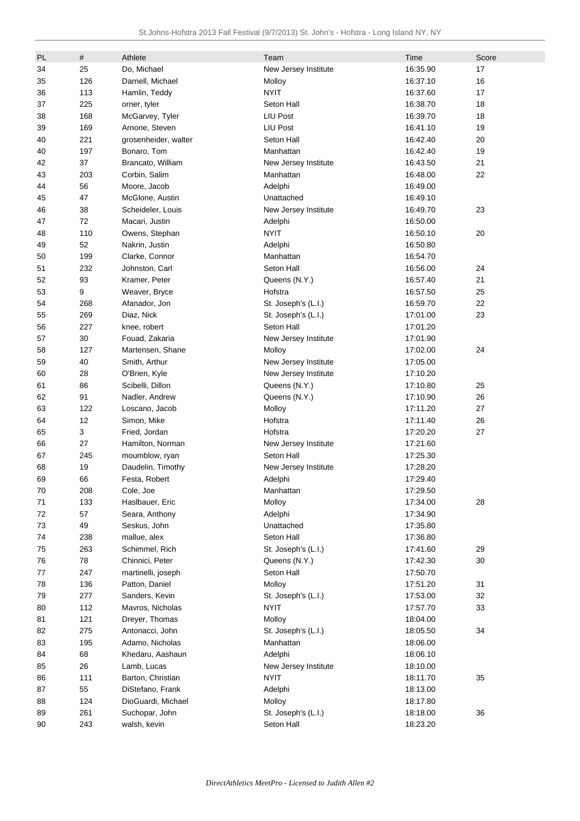| PL     | #   | Athlete              | Team                 | Time     | Score |
|--------|-----|----------------------|----------------------|----------|-------|
| 34     | 25  | Do, Michael          | New Jersey Institute | 16:35.90 | 17    |
| 35     | 126 | Darnell, Michael     | Molloy               | 16:37.10 | 16    |
| 36     | 113 | Hamlin, Teddy        | <b>NYIT</b>          | 16:37.60 | 17    |
| 37     | 225 | orner, tyler         | Seton Hall           | 16:38.70 | 18    |
| 38     | 168 | McGarvey, Tyler      | LIU Post             | 16:39.70 | 18    |
| 39     | 169 | Arnone, Steven       | <b>LIU Post</b>      | 16:41.10 | 19    |
| 40     | 221 | grosenheider, walter | Seton Hall           | 16:42.40 | 20    |
| 40     | 197 | Bonaro, Tom          | Manhattan            | 16:42.40 | 19    |
| 42     | 37  | Brancato, William    | New Jersey Institute | 16:43.50 | 21    |
| 43     | 203 | Corbin, Salim        | Manhattan            | 16:48.00 | 22    |
| 44     | 56  | Moore, Jacob         | Adelphi              | 16:49.00 |       |
| 45     | 47  | McGlone, Austin      | Unattached           | 16:49.10 |       |
| 46     | 38  | Scheideler, Louis    | New Jersey Institute | 16:49.70 | 23    |
| 47     | 72  | Macari, Justin       | Adelphi              | 16:50.00 |       |
| 48     | 110 | Owens, Stephan       | <b>NYIT</b>          | 16:50.10 | 20    |
| 49     | 52  | Nakrin, Justin       | Adelphi              | 16:50.80 |       |
| 50     | 199 | Clarke, Connor       | Manhattan            | 16:54.70 |       |
| 51     | 232 | Johnston, Carl       | Seton Hall           | 16:56.00 | 24    |
| 52     | 93  | Kramer, Peter        |                      | 16:57.40 | 21    |
|        |     |                      | Queens (N.Y.)        |          | 25    |
| 53     | 9   | Weaver, Bryce        | Hofstra              | 16:57.50 |       |
| 54     | 268 | Afanador, Jon        | St. Joseph's (L.I.)  | 16:59.70 | 22    |
| 55     | 269 | Diaz, Nick           | St. Joseph's (L.I.)  | 17:01.00 | 23    |
| 56     | 227 | knee, robert         | Seton Hall           | 17:01.20 |       |
| 57     | 30  | Fouad, Zakaria       | New Jersey Institute | 17:01.90 |       |
| 58     | 127 | Martensen, Shane     | Molloy               | 17:02.00 | 24    |
| 59     | 40  | Smith, Arthur        | New Jersey Institute | 17:05.00 |       |
| 60     | 28  | O'Brien, Kyle        | New Jersey Institute | 17:10.20 |       |
| 61     | 86  | Scibelli, Dillon     | Queens (N.Y.)        | 17:10.80 | 25    |
| 62     | 91  | Nadler, Andrew       | Queens (N.Y.)        | 17:10.90 | 26    |
| 63     | 122 | Loscano, Jacob       | Molloy               | 17:11.20 | 27    |
| 64     | 12  | Simon, Mike          | Hofstra              | 17:11.40 | 26    |
| 65     | 3   | Fried, Jordan        | Hofstra              | 17:20.20 | 27    |
| 66     | 27  | Hamilton, Norman     | New Jersey Institute | 17:21.60 |       |
| 67     | 245 | moumblow, ryan       | Seton Hall           | 17:25.30 |       |
| 68     | 19  | Daudelin, Timothy    | New Jersey Institute | 17:28.20 |       |
| 69     | 66  | Festa, Robert        | Adelphi              | 17:29.40 |       |
| $70\,$ | 208 | Cole, Joe            | Manhattan            | 17:29.50 |       |
| 71     | 133 | Haslbauer, Eric      | Molloy               | 17:34.00 | 28    |
| 72     | 57  | Seara, Anthony       | Adelphi              | 17:34.90 |       |
| 73     | 49  | Seskus, John         | Unattached           | 17:35.80 |       |
| 74     | 238 | mallue, alex         | Seton Hall           | 17:36.80 |       |
| 75     | 263 | Schimmel, Rich       | St. Joseph's (L.I.)  | 17:41.60 | 29    |
| 76     | 78  | Chinnici, Peter      | Queens (N.Y.)        | 17:42.30 | 30    |
| 77     | 247 | martinelli, joseph   | Seton Hall           | 17:50.70 |       |
| 78     | 136 | Patton, Daniel       | Molloy               | 17:51.20 | 31    |
| 79     | 277 | Sanders, Kevin       | St. Joseph's (L.I.)  | 17:53.00 | 32    |
| 80     | 112 | Mavros, Nicholas     | NYIT                 | 17:57.70 | 33    |
| 81     | 121 | Dreyer, Thomas       | Molloy               | 18:04.00 |       |
| 82     | 275 | Antonacci, John      | St. Joseph's (L.I.)  | 18:05.50 | 34    |
| 83     | 195 | Adamo, Nicholas      | Manhattan            | 18:06.00 |       |
| 84     | 68  | Khedaru, Aashaun     | Adelphi              | 18:06.10 |       |
| 85     | 26  | Lamb, Lucas          | New Jersey Institute | 18:10.00 |       |
| 86     | 111 | Barton, Christian    | <b>NYIT</b>          | 18:11.70 | 35    |
| 87     | 55  | DiStefano, Frank     | Adelphi              | 18:13.00 |       |
| 88     | 124 | DioGuardi, Michael   | Molloy               | 18:17.80 |       |
| 89     | 261 | Suchopar, John       | St. Joseph's (L.I.)  | 18:18.00 | 36    |
| 90     | 243 | walsh, kevin         | Seton Hall           | 18:23.20 |       |